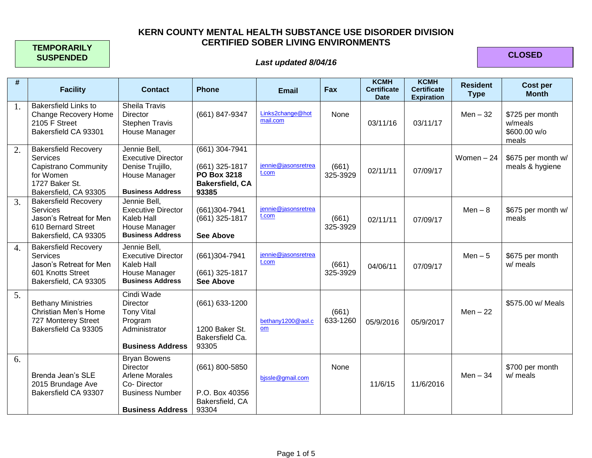### **TEMPORARILY SUSPENDED**

*Last updated 8/04/16* 

**CLOSED**

| $\pmb{\#}$       | <b>Facility</b>                                                                                                                | <b>Contact</b>                                                                                                               | <b>Phone</b>                                                                                | <b>Email</b>                 | <b>Fax</b>        | <b>KCMH</b><br><b>Certificate</b><br><b>Date</b> | <b>KCMH</b><br><b>Certificate</b><br><b>Expiration</b> | <b>Resident</b><br><b>Type</b> | <b>Cost per</b><br><b>Month</b>                     |
|------------------|--------------------------------------------------------------------------------------------------------------------------------|------------------------------------------------------------------------------------------------------------------------------|---------------------------------------------------------------------------------------------|------------------------------|-------------------|--------------------------------------------------|--------------------------------------------------------|--------------------------------|-----------------------------------------------------|
| 1.               | <b>Bakersfield Links to</b><br>Change Recovery Home<br>2105 F Street<br>Bakersfield CA 93301                                   | <b>Sheila Travis</b><br>Director<br><b>Stephen Travis</b><br>House Manager                                                   | (661) 847-9347                                                                              | Links2change@hot<br>mail.com | None              | 03/11/16                                         | 03/11/17                                               | Men $-32$                      | \$725 per month<br>w/meals<br>\$600.00 w/o<br>meals |
| 2.               | <b>Bakersfield Recovery</b><br><b>Services</b><br>Capistrano Community<br>for Women<br>1727 Baker St.<br>Bakersfield, CA 93305 | Jennie Bell,<br><b>Executive Director</b><br>Denise Trujillo,<br>House Manager<br><b>Business Address</b>                    | $(661)$ 304-7941<br>(661) 325-1817<br><b>PO Box 3218</b><br><b>Bakersfield, CA</b><br>93385 | jennie@jasonsretrea<br>t.com | (661)<br>325-3929 | 02/11/11                                         | 07/09/17                                               | Women $-24$                    | \$675 per month w/<br>meals & hygiene               |
| 3.               | <b>Bakersfield Recovery</b><br><b>Services</b><br>Jason's Retreat for Men<br>610 Bernard Street<br>Bakersfield, CA 93305       | Jennie Bell,<br><b>Executive Director</b><br>Kaleb Hall<br>House Manager<br><b>Business Address</b>                          | (661)304-7941<br>(661) 325-1817<br><b>See Above</b>                                         | jennie@jasonsretrea<br>t.com | (661)<br>325-3929 | 02/11/11                                         | 07/09/17                                               | $Men - 8$                      | \$675 per month w/<br>meals                         |
| $\overline{4}$ . | <b>Bakersfield Recovery</b><br><b>Services</b><br>Jason's Retreat for Men<br>601 Knotts Street<br>Bakersfield, CA 93305        | Jennie Bell,<br><b>Executive Director</b><br>Kaleb Hall<br>House Manager<br><b>Business Address</b>                          | (661)304-7941<br>(661) 325-1817<br><b>See Above</b>                                         | jennie@jasonsretrea<br>t.com | (661)<br>325-3929 | 04/06/11                                         | 07/09/17                                               | $Men - 5$                      | \$675 per month<br>w/ meals                         |
| 5 <sub>1</sub>   | <b>Bethany Ministries</b><br><b>Christian Men's Home</b><br>727 Monterey Street<br>Bakersfield Ca 93305                        | Cindi Wade<br>Director<br><b>Tony Vital</b><br>Program<br>Administrator<br><b>Business Address</b>                           | (661) 633-1200<br>1200 Baker St.<br>Bakersfield Ca.<br>93305                                | bethany1200@aol.c<br>om      | (661)<br>633-1260 | 05/9/2016                                        | 05/9/2017                                              | Men $-22$                      | \$575.00 w/ Meals                                   |
| 6.               | Brenda Jean's SLE<br>2015 Brundage Ave<br>Bakersfield CA 93307                                                                 | <b>Bryan Bowens</b><br>Director<br><b>Arlene Morales</b><br>Co-Director<br><b>Business Number</b><br><b>Business Address</b> | (661) 800-5850<br>P.O. Box 40356<br>Bakersfield, CA<br>93304                                | bissle@gmail.com             | None              | 11/6/15                                          | 11/6/2016                                              | $Men - 34$                     | \$700 per month<br>w/ meals                         |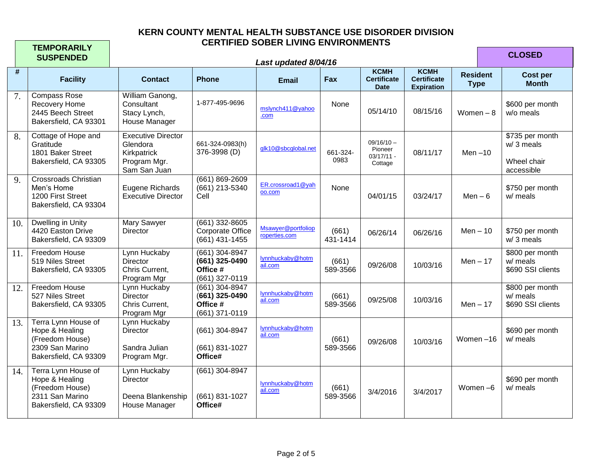|                  | <b>TEMPORARILY</b>                                                                                   | <u>UERTIFIED SUBER LIVING ENVIRONMENTS</u>                                           |                                                                  |                                     |                   |                                                    |                                                        |                                |                                                           |  |
|------------------|------------------------------------------------------------------------------------------------------|--------------------------------------------------------------------------------------|------------------------------------------------------------------|-------------------------------------|-------------------|----------------------------------------------------|--------------------------------------------------------|--------------------------------|-----------------------------------------------------------|--|
|                  | <b>SUSPENDED</b>                                                                                     | Last updated 8/04/16                                                                 |                                                                  |                                     |                   |                                                    |                                                        |                                | <b>CLOSED</b>                                             |  |
| #                | <b>Facility</b>                                                                                      | <b>Contact</b>                                                                       | <b>Phone</b>                                                     | <b>Email</b>                        | Fax               | <b>KCMH</b><br><b>Certificate</b><br><b>Date</b>   | <b>KCMH</b><br><b>Certificate</b><br><b>Expiration</b> | <b>Resident</b><br><b>Type</b> | <b>Cost per</b><br><b>Month</b>                           |  |
| $\overline{7}$ . | <b>Compass Rose</b><br>Recovery Home<br>2445 Beech Street<br>Bakersfield, CA 93301                   | William Ganong,<br>Consultant<br>Stacy Lynch,<br>House Manager                       | 1-877-495-9696                                                   | mslynch411@yahoo<br>.com            | None              | 05/14/10                                           | 08/15/16                                               | Women $-8$                     | \$600 per month<br>w/o meals                              |  |
| 8.               | Cottage of Hope and<br>Gratitude<br>1801 Baker Street<br>Bakersfield, CA 93305                       | <b>Executive Director</b><br>Glendora<br>Kirkpatrick<br>Program Mgr.<br>Sam San Juan | 661-324-0983(h)<br>376-3998 (D)                                  | glk10@sbcglobal.net                 | 661-324-<br>0983  | $09/16/10 -$<br>Pioneer<br>$03/17/11 -$<br>Cottage | 08/11/17                                               | Men $-10$                      | \$735 per month<br>w/3 meals<br>Wheel chair<br>accessible |  |
| 9.               | <b>Crossroads Christian</b><br>Men's Home<br>1200 First Street<br>Bakersfield, CA 93304              | Eugene Richards<br><b>Executive Director</b>                                         | $(661) 869 - 2609$<br>(661) 213-5340<br>Cell                     | ER.crossroad1@vah<br>oo.com         | None              | 04/01/15                                           | 03/24/17                                               | $Men - 6$                      | \$750 per month<br>w/ meals                               |  |
| 10.              | Dwelling in Unity<br>4420 Easton Drive<br>Bakersfield, CA 93309                                      | Mary Sawyer<br>Director                                                              | (661) 332-8605<br><b>Corporate Office</b><br>(661) 431-1455      | Msawyer@portfoliop<br>roperties.com | (661)<br>431-1414 | 06/26/14                                           | 06/26/16                                               | $Men - 10$                     | \$750 per month<br>w/3 meals                              |  |
| 11.              | Freedom House<br>519 Niles Street<br>Bakersfield, CA 93305                                           | Lynn Huckaby<br>Director<br>Chris Current,<br>Program Mgr                            | $(661)$ 304-8947<br>(661) 325-0490<br>Office #<br>(661) 327-0119 | lynnhuckaby@hotm<br>ail.com         | (661)<br>589-3566 | 09/26/08                                           | 10/03/16                                               | $Men - 17$                     | \$800 per month<br>w/ meals<br>\$690 SSI clients          |  |
| 12.              | Freedom House<br>527 Niles Street<br>Bakersfield, CA 93305                                           | Lynn Huckaby<br>Director<br>Chris Current,<br>Program Mgr                            | (661) 304-8947<br>(661) 325-0490<br>Office #<br>(661) 371-0119   | lynnhuckaby@hotm<br>ail.com         | (661)<br>589-3566 | 09/25/08                                           | 10/03/16                                               | $Men - 17$                     | \$800 per month<br>w/ meals<br>\$690 SSI clients          |  |
| 13.              | Terra Lynn House of<br>Hope & Healing<br>(Freedom House)<br>2309 San Marino<br>Bakersfield, CA 93309 | Lynn Huckaby<br>Director<br>Sandra Julian<br>Program Mgr.                            | (661) 304-8947<br>(661) 831-1027<br>Office#                      | lynnhuckaby@hotm<br>ail.com         | (661)<br>589-3566 | 09/26/08                                           | 10/03/16                                               | Women-16                       | \$690 per month<br>w/ meals                               |  |
| 14.              | Terra Lynn House of<br>Hope & Healing<br>(Freedom House)<br>2311 San Marino<br>Bakersfield, CA 93309 | Lynn Huckaby<br>Director<br>Deena Blankenship<br>House Manager                       | $(661)$ 304-8947<br>(661) 831-1027<br>Office#                    | lynnhuckaby@hotm<br>ail.com         | (661)<br>589-3566 | 3/4/2016                                           | 3/4/2017                                               | Women -6                       | \$690 per month<br>w/ meals                               |  |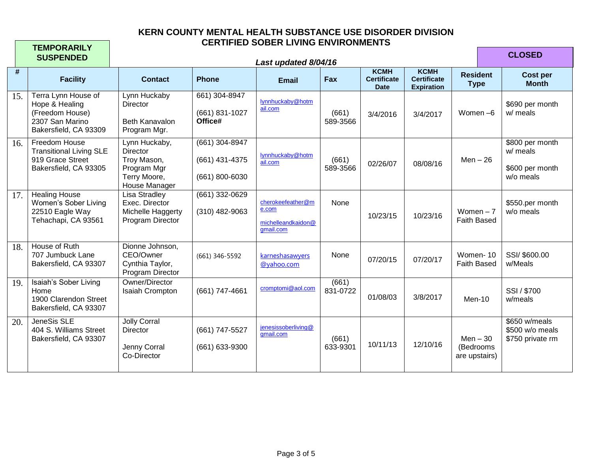**TEMPORARILY** 

|     | <b>SUSPENDED</b>                                                                                     |                                                                                                 |                                                      |                                                               |                   |                                                  |                                                        |                                         |  | <b>CLOSED</b>                                               |
|-----|------------------------------------------------------------------------------------------------------|-------------------------------------------------------------------------------------------------|------------------------------------------------------|---------------------------------------------------------------|-------------------|--------------------------------------------------|--------------------------------------------------------|-----------------------------------------|--|-------------------------------------------------------------|
|     |                                                                                                      | Last updated 8/04/16                                                                            |                                                      |                                                               |                   |                                                  |                                                        |                                         |  |                                                             |
| #   | <b>Facility</b>                                                                                      | <b>Contact</b>                                                                                  | <b>Phone</b>                                         | <b>Email</b>                                                  | Fax               | <b>KCMH</b><br><b>Certificate</b><br><b>Date</b> | <b>KCMH</b><br><b>Certificate</b><br><b>Expiration</b> | <b>Resident</b><br><b>Type</b>          |  | <b>Cost per</b><br><b>Month</b>                             |
| 15. | Terra Lynn House of<br>Hope & Healing<br>(Freedom House)<br>2307 San Marino<br>Bakersfield, CA 93309 | Lynn Huckaby<br><b>Director</b><br>Beth Kanavalon<br>Program Mgr.                               | 661) 304-8947<br>(661) 831-1027<br>Office#           | lynnhuckaby@hotm<br>ail.com                                   | (661)<br>589-3566 | 3/4/2016                                         | 3/4/2017                                               | Women-6                                 |  | \$690 per month<br>w/ meals                                 |
| 16. | Freedom House<br><b>Transitional Living SLE</b><br>919 Grace Street<br>Bakersfield, CA 93305         | Lynn Huckaby,<br><b>Director</b><br>Troy Mason,<br>Program Mgr<br>Terry Moore,<br>House Manager | $(661)$ 304-8947<br>(661) 431-4375<br>(661) 800-6030 | lynnhuckaby@hotm<br>ail.com                                   | (661)<br>589-3566 | 02/26/07                                         | 08/08/16                                               | Men $-26$                               |  | \$800 per month<br>w/ meals<br>\$600 per month<br>w/o meals |
| 17. | <b>Healing House</b><br>Women's Sober Living<br>22510 Eagle Way<br>Tehachapi, CA 93561               | Lisa Stradley<br>Exec. Director<br>Michelle Haggerty<br>Program Director                        | (661) 332-0629<br>(310) 482-9063                     | cherokeefeather@m<br>e.com<br>michelleandkaidon@<br>qmail.com | None              | 10/23/15                                         | 10/23/16                                               | Women $-7$<br><b>Faith Based</b>        |  | \$550.per month<br>w/o meals                                |
| 18. | House of Ruth<br>707 Jumbuck Lane<br>Bakersfield, CA 93307                                           | Dionne Johnson,<br>CEO/Owner<br>Cynthia Taylor,<br>Program Director                             | (661) 346-5592                                       | karneshasawyers<br>@yahoo.com                                 | None              | 07/20/15                                         | 07/20/17                                               | Women-10<br><b>Faith Based</b>          |  | SSI/ \$600.00<br>w/Meals                                    |
| 19. | Isaiah's Sober Living<br>Home<br>1900 Clarendon Street<br>Bakersfield, CA 93307                      | Owner/Director<br>Isaiah Crompton                                                               | (661) 747-4661                                       | cromptomi@aol.com                                             | (661)<br>831-0722 | 01/08/03                                         | 3/8/2017                                               | Men-10                                  |  | SSI / \$700<br>w/meals                                      |
| 20. | JeneSis SLE<br>404 S. Williams Street<br>Bakersfield, CA 93307                                       | <b>Jolly Corral</b><br><b>Director</b><br>Jenny Corral<br>Co-Director                           | (661) 747-5527<br>(661) 633-9300                     | jenesissoberliving@<br>gmail.com                              | (661)<br>633-9301 | 10/11/13                                         | 12/10/16                                               | Men $-30$<br>(Bedrooms<br>are upstairs) |  | \$650 w/meals<br>\$500 w/o meals<br>\$750 private rm        |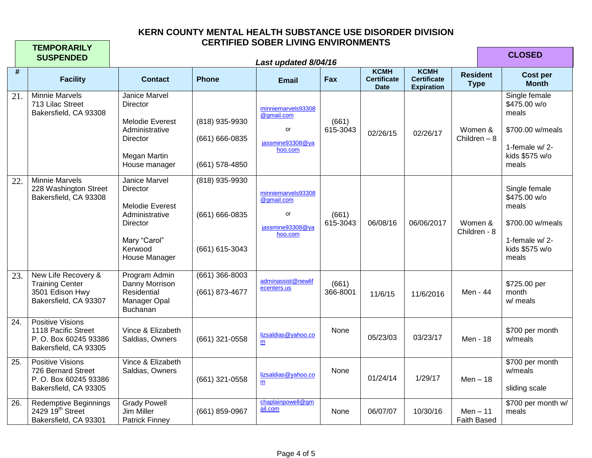|     | <b>TEMPORARILY</b>                                                                               |                                                                                                                               |                                                        | <u>CERTIFIED SOBER LIVING ENVIRONMENTS</u>                            |                   |                                   |                                         |                                  |                                                                                                        |
|-----|--------------------------------------------------------------------------------------------------|-------------------------------------------------------------------------------------------------------------------------------|--------------------------------------------------------|-----------------------------------------------------------------------|-------------------|-----------------------------------|-----------------------------------------|----------------------------------|--------------------------------------------------------------------------------------------------------|
|     | <b>SUSPENDED</b>                                                                                 | Last updated 8/04/16                                                                                                          |                                                        |                                                                       |                   |                                   |                                         |                                  | <b>CLOSED</b>                                                                                          |
|     |                                                                                                  |                                                                                                                               | <b>KCMH</b><br><b>KCMH</b>                             |                                                                       |                   |                                   |                                         |                                  |                                                                                                        |
| #   | <b>Facility</b>                                                                                  | <b>Contact</b>                                                                                                                | <b>Phone</b>                                           | <b>Email</b>                                                          | Fax               | <b>Certificate</b><br><b>Date</b> | <b>Certificate</b><br><b>Expiration</b> | <b>Resident</b><br><b>Type</b>   | <b>Cost per</b><br><b>Month</b>                                                                        |
| 21. | <b>Minnie Marvels</b><br>713 Lilac Street<br>Bakersfield, CA 93308                               | Janice Marvel<br><b>Director</b><br>Melodie Everest<br>Administrative<br><b>Director</b><br>Megan Martin<br>House manager     | (818) 935-9930<br>$(661) 666 - 0835$<br>(661) 578-4850 | minniemarvels93308<br>@gmail.com<br>or<br>jassmine93308@ya<br>hoo.com | (661)<br>615-3043 | 02/26/15                          | 02/26/17                                | Women &<br>Children $-8$         | Single female<br>\$475.00 w/o<br>meals<br>\$700.00 w/meals<br>1-female w/2-<br>kids \$575 w/o<br>meals |
| 22. | <b>Minnie Marvels</b><br>228 Washington Street<br>Bakersfield, CA 93308                          | Janice Marvel<br>Director<br><b>Melodie Everest</b><br>Administrative<br>Director<br>Mary "Carol"<br>Kerwood<br>House Manager | (818) 935-9930<br>(661) 666-0835<br>(661) 615-3043     | minniemarvels93308<br>@gmail.com<br>or<br>jassmine93308@ya<br>hoo.com | (661)<br>615-3043 | 06/08/16                          | 06/06/2017                              | Women &<br>Children - 8          | Single female<br>\$475.00 w/o<br>meals<br>\$700.00 w/meals<br>1-female w/2-<br>kids \$575 w/o<br>meals |
| 23. | New Life Recovery &<br><b>Training Center</b><br>3501 Edison Hwy<br>Bakersfield, CA 93307        | Program Admin<br>Danny Morrison<br>Residential<br>Manager Opal<br>Buchanan                                                    | $(661)$ 366-8003<br>(661) 873-4677                     | adminassist@newlif<br>ecenters.us                                     | (661)<br>366-8001 | 11/6/15                           | 11/6/2016                               | Men - 44                         | \$725.00 per<br>month<br>w/ meals                                                                      |
| 24. | <b>Positive Visions</b><br>1118 Pacific Street<br>P. O. Box 60245 93386<br>Bakersfield, CA 93305 | Vince & Elizabeth<br>Saldias, Owners                                                                                          | (661) 321-0558                                         | lizsaldias@yahoo.co<br>$\underline{m}$                                | None              | 05/23/03                          | 03/23/17                                | Men - 18                         | \$700 per month<br>w/meals                                                                             |
| 25. | <b>Positive Visions</b><br>726 Bernard Street<br>P. O. Box 60245 93386<br>Bakersfield, CA 93305  | Vince & Elizabeth<br>Saldias, Owners                                                                                          | (661) 321-0558                                         | lizsaldias@yahoo.co<br>m                                              | None              | 01/24/14                          | 1/29/17                                 | $Men - 18$                       | \$700 per month<br>w/meals<br>sliding scale                                                            |
| 26. | Redemptive Beginnings<br>2429 19 <sup>th</sup> Street<br>Bakersfield, CA 93301                   | <b>Grady Powell</b><br>Jim Miller<br><b>Patrick Finney</b>                                                                    | (661) 859-0967                                         | chaplainpowell@qm<br>ail.com                                          | None              | 06/07/07                          | 10/30/16                                | $Men - 11$<br><b>Faith Based</b> | \$700 per month w/<br>meals                                                                            |